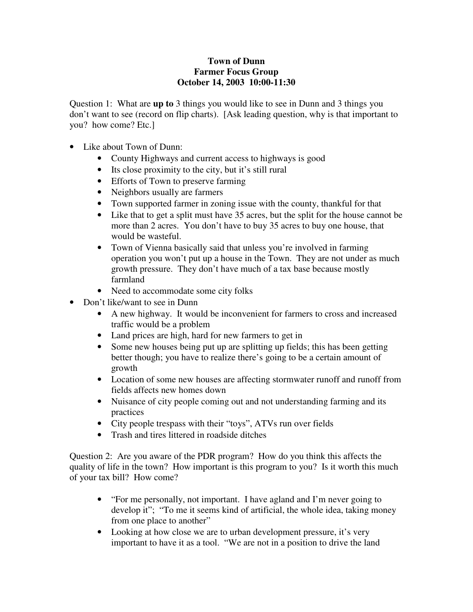## **Town of Dunn Farmer Focus Group October 14, 2003 10:00-11:30**

Question 1: What are **up to** 3 things you would like to see in Dunn and 3 things you don't want to see (record on flip charts). [Ask leading question, why is that important to you? how come? Etc.]

- Like about Town of Dunn:
	- County Highways and current access to highways is good
	- Its close proximity to the city, but it's still rural
	- Efforts of Town to preserve farming
	- Neighbors usually are farmers
	- Town supported farmer in zoning issue with the county, thankful for that
	- Like that to get a split must have 35 acres, but the split for the house cannot be more than 2 acres. You don't have to buy 35 acres to buy one house, that would be wasteful.
	- Town of Vienna basically said that unless you're involved in farming operation you won't put up a house in the Town. They are not under as much growth pressure. They don't have much of a tax base because mostly farmland
	- Need to accommodate some city folks
- Don't like/want to see in Dunn
	- A new highway. It would be inconvenient for farmers to cross and increased traffic would be a problem
	- Land prices are high, hard for new farmers to get in
	- Some new houses being put up are splitting up fields; this has been getting better though; you have to realize there's going to be a certain amount of growth
	- Location of some new houses are affecting stormwater runoff and runoff from fields affects new homes down
	- Nuisance of city people coming out and not understanding farming and its practices
	- City people trespass with their "toys", ATVs run over fields
	- Trash and tires littered in roadside ditches

Question 2: Are you aware of the PDR program? How do you think this affects the quality of life in the town? How important is this program to you? Is it worth this much of your tax bill? How come?

- "For me personally, not important. I have agland and I'm never going to develop it"; "To me it seems kind of artificial, the whole idea, taking money from one place to another"
- Looking at how close we are to urban development pressure, it's very important to have it as a tool. "We are not in a position to drive the land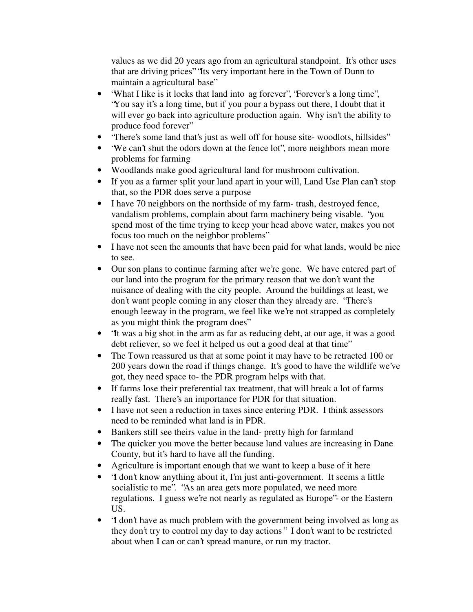values as we did 20 years ago from an agricultural standpoint. It's other uses that are driving prices" "Its very important here in the Town of Dunn to maintain a agricultural base"

- 'What I like is it locks that land into ag forever', 'Forever's a long time'', "You say it's a long time, but if you pour a bypass out there, I doubt that it will ever go back into agriculture production again. Why isn't the ability to produce food forever"
- "There's some land that's just as well off for house site-woodlots, hillsides"
- "We can't shut the odors down at the fence lot", more neighbors mean more problems for farming
- Woodlands make good agricultural land for mushroom cultivation.
- If you as a farmer split your land apart in your will, Land Use Plan can't stop that, so the PDR does serve a purpose
- I have 70 neighbors on the northside of my farm-trash, destroyed fence, vandalism problems, complain about farm machinery being visable. "you spend most of the time trying to keep your head above water, makes you not focus too much on the neighbor problems"
- I have not seen the amounts that have been paid for what lands, would be nice to see.
- Our son plans to continue farming after we're gone. We have entered part of our land into the program for the primary reason that we don't want the nuisance of dealing with the city people. Around the buildings at least, we don't want people coming in any closer than they already are. "There's enough leeway in the program, we feel like we're not strapped as completely as you might think the program does"
- "It was a big shot in the arm as far as reducing debt, at our age, it was a good debt reliever, so we feel it helped us out a good deal at that time"
- The Town reassured us that at some point it may have to be retracted 100 or 200 years down the road if things change. It's good to have the wildlife we've got, they need space to- the PDR program helps with that.
- If farms lose their preferential tax treatment, that will break a lot of farms really fast. There's an importance for PDR for that situation.
- I have not seen a reduction in taxes since entering PDR. I think assessors need to be reminded what land is in PDR.
- Bankers still see theirs value in the land- pretty high for farmland
- The quicker you move the better because land values are increasing in Dane County, but it's hard to have all the funding.
- Agriculture is important enough that we want to keep a base of it here
- 'I don't know anything about it, I'm just anti-government. It seems a little socialistic to me". "As an area gets more populated, we need more regulations. I guess we're not nearly as regulated as Europe"- or the Eastern US.
- "I don't have as much problem with the government being involved as long as they don't try to control my day to day actions" I don't want to be restricted about when I can or can't spread manure, or run my tractor.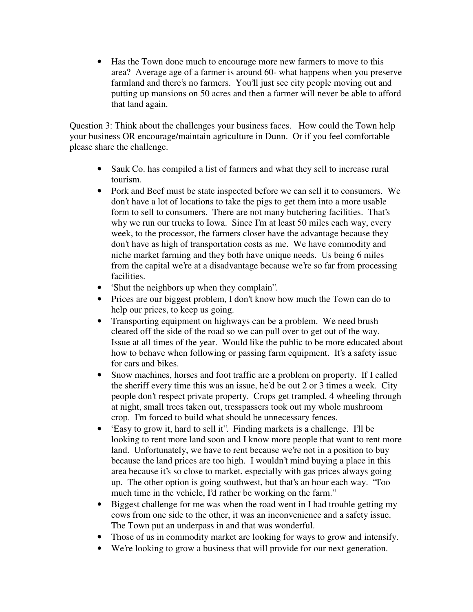• Has the Town done much to encourage more new farmers to move to this area? Average age of a farmer is around 60- what happens when you preserve farmland and there's no farmers. You'll just see city people moving out and putting up mansions on 50 acres and then a farmer will never be able to afford that land again.

Question 3: Think about the challenges your business faces. How could the Town help your business OR encourage/maintain agriculture in Dunn. Or if you feel comfortable please share the challenge.

- Sauk Co. has compiled a list of farmers and what they sell to increase rural tourism.
- Pork and Beef must be state inspected before we can sell it to consumers. We don't have a lot of locations to take the pigs to get them into a more usable form to sell to consumers. There are not many butchering facilities. That's why we run our trucks to Iowa. Since I'm at least 50 miles each way, every week, to the processor, the farmers closer have the advantage because they don't have as high of transportation costs as me. We have commodity and niche market farming and they both have unique needs. Us being 6 miles from the capital we're at a disadvantage because we're so far from processing facilities.
- Shut the neighbors up when they complain".
- Prices are our biggest problem, I don't know how much the Town can do to help our prices, to keep us going.
- Transporting equipment on highways can be a problem. We need brush cleared off the side of the road so we can pull over to get out of the way. Issue at all times of the year. Would like the public to be more educated about how to behave when following or passing farm equipment. It's a safety issue for cars and bikes.
- Snow machines, horses and foot traffic are a problem on property. If I called the sheriff every time this was an issue, he'd be out 2 or 3 times a week. City people don't respect private property. Crops get trampled, 4 wheeling through at night, small trees taken out, tresspassers took out my whole mushroom crop. I'm forced to build what should be unnecessary fences.
- 'Easy to grow it, hard to sell it". Finding markets is a challenge. I'll be looking to rent more land soon and I know more people that want to rent more land. Unfortunately, we have to rent because we're not in a position to buy because the land prices are too high. I wouldn't mind buying a place in this area because it's so close to market, especially with gas prices always going up. The other option is going southwest, but that's an hour each way. "Too much time in the vehicle, I'd rather be working on the farm."
- Biggest challenge for me was when the road went in I had trouble getting my cows from one side to the other, it was an inconvenience and a safety issue. The Town put an underpass in and that was wonderful.
- Those of us in commodity market are looking for ways to grow and intensify.
- We're looking to grow a business that will provide for our next generation.